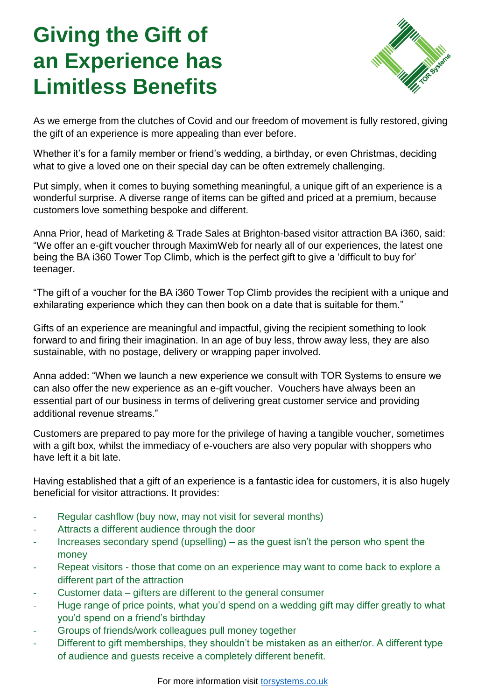# **Giving the Gift of an Experience has Limitless Benefits**



As we emerge from the clutches of Covid and our freedom of movement is fully restored, giving the gift of an experience is more appealing than ever before.

Whether it's for a family member or friend's wedding, a birthday, or even Christmas, deciding what to give a loved one on their special day can be often extremely challenging.

Put simply, when it comes to buying something meaningful, a unique gift of an experience is a wonderful surprise. A diverse range of items can be gifted and priced at a premium, because customers love something bespoke and different.

Anna Prior, head of Marketing & Trade Sales at Brighton-based visitor attraction BA i360, said: "We offer an e-gift voucher through MaximWeb for nearly all of our experiences, the latest one being the BA i360 Tower Top Climb, which is the perfect gift to give a 'difficult to buy for' teenager.

"The gift of a voucher for the BA i360 Tower Top Climb provides the recipient with a unique and exhilarating experience which they can then book on a date that is suitable for them."

Gifts of an experience are meaningful and impactful, giving the recipient something to look forward to and firing their imagination. In an age of buy less, throw away less, they are also sustainable, with no postage, delivery or wrapping paper involved.

Anna added: "When we launch a new experience we consult with TOR Systems to ensure we can also offer the new experience as an e-gift voucher. Vouchers have always been an essential part of our business in terms of delivering great customer service and providing additional revenue streams."

Customers are prepared to pay more for the privilege of having a tangible voucher, sometimes with a gift box, whilst the immediacy of e-vouchers are also very popular with shoppers who have left it a bit late.

Having established that a gift of an experience is a fantastic idea for customers, it is also hugely beneficial for visitor attractions. It provides:

- Regular cashflow (buy now, may not visit for several months)
- Attracts a different audience through the door
- Increases secondary spend (upselling) as the guest isn't the person who spent the money
- Repeat visitors those that come on an experience may want to come back to explore a different part of the attraction
- Customer data gifters are different to the general consumer
- Huge range of price points, what you'd spend on a wedding gift may differ greatly to what you'd spend on a friend's birthday
- Groups of friends/work colleagues pull money together
- Different to gift memberships, they shouldn't be mistaken as an either/or. A different type of audience and guests receive a completely different benefit.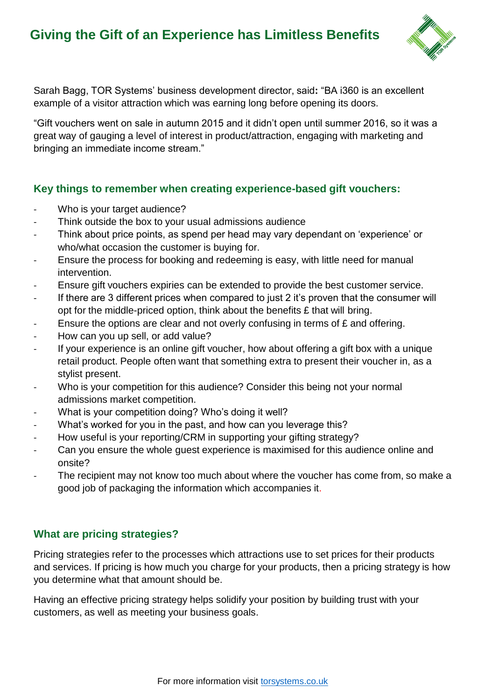## **Giving the Gift of an Experience has Limitless Benefits**



Sarah Bagg, TOR Systems' business development director, said**:** "BA i360 is an excellent example of a visitor attraction which was earning long before opening its doors.

"Gift vouchers went on sale in autumn 2015 and it didn't open until summer 2016, so it was a great way of gauging a level of interest in product/attraction, engaging with marketing and bringing an immediate income stream."

### **Key things to remember when creating experience-based gift vouchers:**

- Who is your target audience?
- Think outside the box to your usual admissions audience
- Think about price points, as spend per head may vary dependant on 'experience' or who/what occasion the customer is buying for.
- Ensure the process for booking and redeeming is easy, with little need for manual intervention.
- Ensure gift vouchers expiries can be extended to provide the best customer service.
- If there are 3 different prices when compared to just 2 it's proven that the consumer will opt for the middle-priced option, think about the benefits  $E$  that will bring.
- Ensure the options are clear and not overly confusing in terms of  $E$  and offering.
- How can you up sell, or add value?
- If your experience is an online gift voucher, how about offering a gift box with a unique retail product. People often want that something extra to present their voucher in, as a stylist present.
- Who is your competition for this audience? Consider this being not your normal admissions market competition.
- What is your competition doing? Who's doing it well?
- What's worked for you in the past, and how can you leverage this?
- How useful is your reporting/CRM in supporting your gifting strategy?
- Can you ensure the whole guest experience is maximised for this audience online and onsite?
- The recipient may not know too much about where the voucher has come from, so make a good job of packaging the information which accompanies it.

### **What are pricing strategies?**

Pricing strategies refer to the processes which attractions use to set prices for their products and services. If pricing is how much you charge for your products, then a pricing strategy is how you determine what that amount should be.

Having an effective pricing strategy helps solidify your position by building trust with your customers, as well as meeting your business goals.